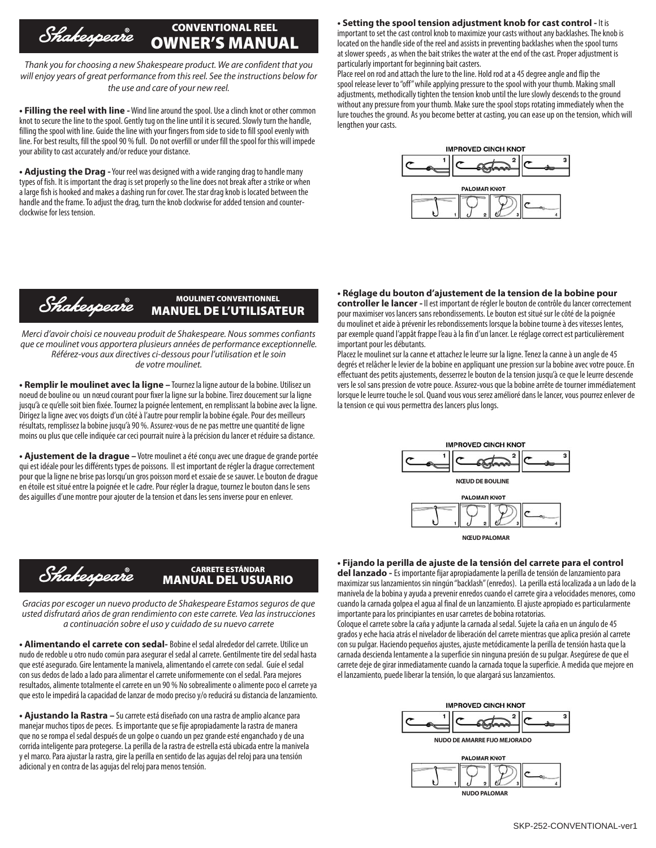## CONVENTIONAL REEL Shakespeare OWNER'S MANUAL

*Thank you for choosing a new Shakespeare product. We are confident that you will enjoy years of great performance from this reel. See the instructions below for the use and care of your new reel.*

**• Filling the reel with line -** Wind line around the spool. Use a clinch knot or other common knot to secure the line to the spool. Gently tug on the line until it is secured. Slowly turn the handle, filling the spool with line. Guide the line with your fingers from side to side to fill spool evenly with line. For best results, fill the spool 90 % full. Do not overfill or under fill the spool for this will impede your ability to cast accurately and/or reduce your distance.

**• Adjusting the Drag -** Your reel was designed with a wide ranging drag to handle many types of fish. It is important the drag is set properly so the line does not break after a strike or when a large fish is hooked and makes a dashing run for cover. The star drag knob is located between the handle and the frame. To adjust the drag, turn the knob clockwise for added tension and counterclockwise for less tension.

#### MOULINET CONVENTIONNEL Shakespeare MANUEL DE L'UTILISATEUR

*Merci d'avoir choisi ce nouveau produit de Shakespeare. Nous sommes confiants que ce moulinet vous apportera plusieurs années de performance exceptionnelle. Référez-vous aux directives ci-dessous pour l'utilisation et le soin de votre moulinet.*

**• Remplir le moulinet avec la ligne –** Tournez la ligne autour de la bobine. Utilisez un noeud de bouline ou un nœud courant pour fixer la ligne sur la bobine. Tirez doucement sur la ligne jusqu'à ce qu'elle soit bien fixée. Tournez la poignée lentement, en remplissant la bobine avec la ligne. Dirigez la ligne avec vos doigts d'un côté à l'autre pour remplir la bobine égale. Pour des meilleurs résultats, remplissez la bobine jusqu'à 90 %. Assurez-vous de ne pas mettre une quantité de ligne moins ou plus que celle indiquée car ceci pourrait nuire à la précision du lancer et réduire sa distance.

**• Ajustement de la drague –** Votre moulinet a été conçu avec une drague de grande portée qui est idéale pour les différents types de poissons. Il est important de régler la drague correctement pour que la ligne ne brise pas lorsqu'un gros poisson mord et essaie de se sauver. Le bouton de drague en étoile est situé entre la poignée et le cadre. Pour régler la drague, tournez le bouton dans le sens des aiguilles d'une montre pour ajouter de la tension et dans les sens inverse pour en enlever.

# **• Setting the spool tension adjustment knob for cast control -** It is

important to set the cast control knob to maximize your casts without any backlashes. The knob is located on the handle side of the reel and assists in preventing backlashes when the spool turns at slower speeds , as when the bait strikes the water at the end of the cast. Proper adjustment is particularly important for beginning bait casters.

Place reel on rod and attach the lure to the line. Hold rod at a 45 degree angle and flip the spool release lever to "off" while applying pressure to the spool with your thumb. Making small adjustments, methodically tighten the tension knob until the lure slowly descends to the ground without any pressure from your thumb. Make sure the spool stops rotating immediately when the lure touches the ground. As you become better at casting, you can ease up on the tension, which will lengthen your casts.



#### **• Réglage du bouton d'ajustement de la tension de la bobine pour**

**controller le lancer -** Il est important de régler le bouton de contrôle du lancer correctement pour maximiser vos lancers sans rebondissements. Le bouton est situé sur le côté de la poignée du moulinet et aide à prévenir les rebondissements lorsque la bobine tourne à des vitesses lentes, par exemple quand l'appât frappe l'eau à la fin d'un lancer. Le réglage correct est particulièrement important pour les débutants.

Placez le moulinet sur la canne et attachez le leurre sur la ligne. Tenez la canne à un angle de 45 degrés et relâcher le levier de la bobine en appliquant une pression sur la bobine avec votre pouce. En effectuant des petits ajustements, desserrez le bouton de la tension jusqu'à ce que le leurre descende vers le sol sans pression de votre pouce. Assurez-vous que la bobine arrête de tourner immédiatement lorsque le leurre touche le sol. Quand vous vous serez amélioré dans le lancer, vous pourrez enlever de la tension ce qui vous permettra des lancers plus longs.



## **• Fijando la perilla de ajuste de la tensión del carrete para el control**

**del lanzado -** Es importante fijar apropiadamente la perilla de tensión de lanzamiento para maximizar sus lanzamientos sin ningún "backlash" (enredos). La perilla está localizada a un lado de la manivela de la bobina y ayuda a prevenir enredos cuando el carrete gira a velocidades menores, como cuando la carnada golpea el agua al final de un lanzamiento. El ajuste apropiado es particularmente importante para los principiantes en usar carretes de bobina rotatorias.

Coloque el carrete sobre la caña y adjunte la carnada al sedal. Sujete la caña en un ángulo de 45 grados y eche hacia atrás el nivelador de liberación del carrete mientras que aplica presión al carrete con su pulgar. Haciendo pequeños ajustes, ajuste metódicamente la perilla de tensión hasta que la carnada descienda lentamente a la superficie sin ninguna presión de su pulgar. Asegúrese de que el carrete deje de girar inmediatamente cuando la carnada toque la superficie. A medida que mejore en el lanzamiento, puede liberar la tensión, lo que alargará sus lanzamientos.







## CARRETE ESTÁNDAR MANUAL DEL USUARIO

*Gracias por escoger un nuevo producto de Shakespeare Estamos seguros de que usted disfrutará años de gran rendimiento con este carrete. Vea las instrucciones a continuación sobre el uso y cuidado de su nuevo carrete*

**• Alimentando el carrete con sedal-** Bobine el sedal alrededor del carrete. Utilice un nudo de redoble u otro nudo común para asegurar el sedal al carrete. Gentilmente tire del sedal hasta que esté asegurado. Gire lentamente la manivela, alimentando el carrete con sedal. Guíe el sedal con sus dedos de lado a lado para alimentar el carrete uniformemente con el sedal. Para mejores resultados, alimente totalmente el carrete en un 90 % No sobrealimente o alimente poco el carrete ya que esto le impedirá la capacidad de lanzar de modo preciso y/o reducirá su distancia de lanzamiento.

**• Ajustando la Rastra –** Su carrete está diseñado con una rastra de amplio alcance para manejar muchos tipos de peces. Es importante que se fije apropiadamente la rastra de manera que no se rompa el sedal después de un golpe o cuando un pez grande esté enganchado y de una corrida inteligente para protegerse. La perilla de la rastra de estrella está ubicada entre la manivela y el marco. Para ajustar la rastra, gire la perilla en sentido de las agujas del reloj para una tensión adicional y en contra de las agujas del reloj para menos tensión.